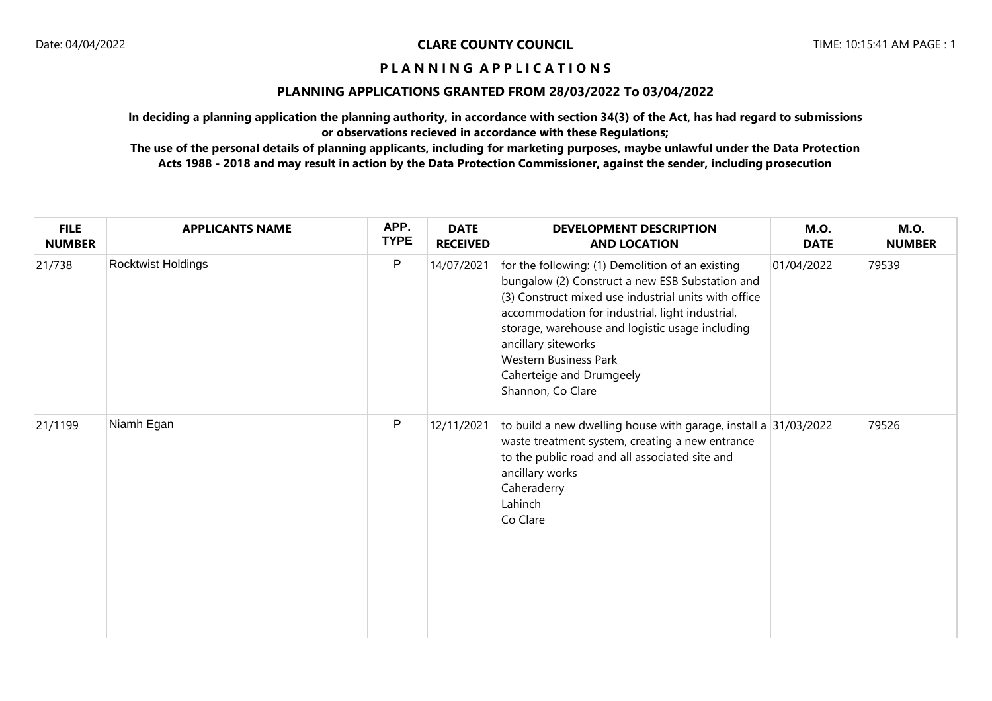## **PLANNING APPLICATIONS GRANTED FROM 28/03/2022 To 03/04/2022**

**In deciding a planning application the planning authority, in accordance with section 34(3) of the Act, has had regard to submissions or observations recieved in accordance with these Regulations;**

| <b>FILE</b><br><b>NUMBER</b> | <b>APPLICANTS NAME</b> | APP.<br><b>TYPE</b> | <b>DATE</b><br><b>RECEIVED</b> | <b>DEVELOPMENT DESCRIPTION</b><br><b>AND LOCATION</b>                                                                                                                                                                                                                                                                                                                     | <b>M.O.</b><br><b>DATE</b> | <b>M.O.</b><br><b>NUMBER</b> |
|------------------------------|------------------------|---------------------|--------------------------------|---------------------------------------------------------------------------------------------------------------------------------------------------------------------------------------------------------------------------------------------------------------------------------------------------------------------------------------------------------------------------|----------------------------|------------------------------|
| 21/738                       | Rocktwist Holdings     | P                   | 14/07/2021                     | for the following: (1) Demolition of an existing<br>bungalow (2) Construct a new ESB Substation and<br>(3) Construct mixed use industrial units with office<br>accommodation for industrial, light industrial,<br>storage, warehouse and logistic usage including<br>ancillary siteworks<br><b>Western Business Park</b><br>Caherteige and Drumgeely<br>Shannon, Co Clare | 01/04/2022                 | 79539                        |
| 21/1199                      | Niamh Egan             | P                   | 12/11/2021                     | to build a new dwelling house with garage, install a 31/03/2022<br>waste treatment system, creating a new entrance<br>to the public road and all associated site and<br>ancillary works<br>Caheraderry<br>Lahinch<br>Co Clare                                                                                                                                             |                            | 79526                        |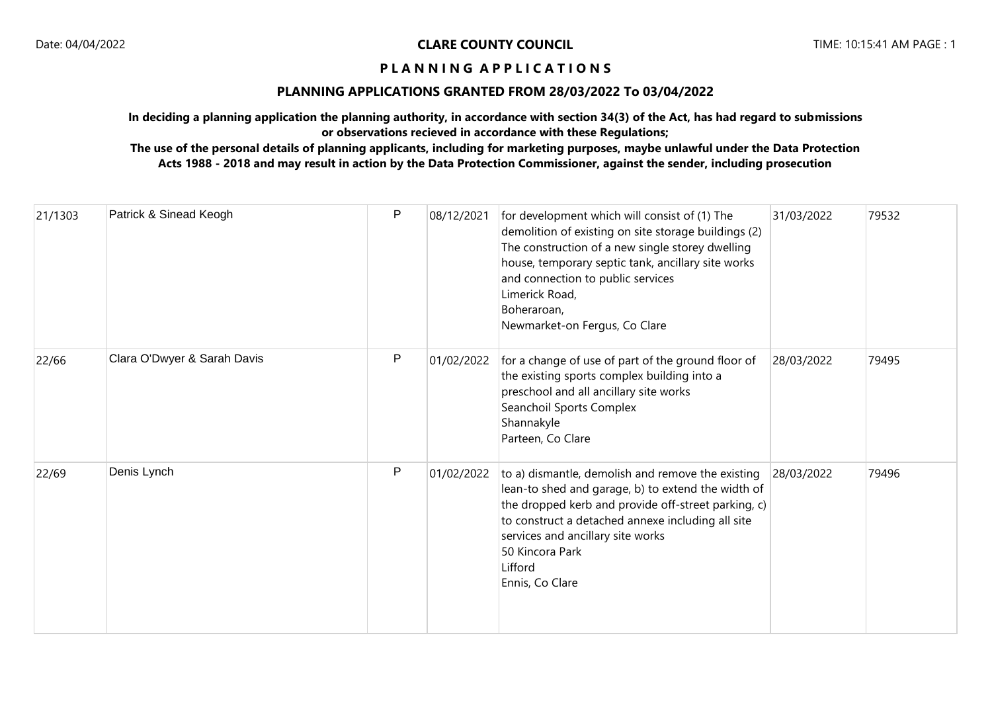## **PLANNING APPLICATIONS GRANTED FROM 28/03/2022 To 03/04/2022**

**In deciding a planning application the planning authority, in accordance with section 34(3) of the Act, has had regard to submissions or observations recieved in accordance with these Regulations;**

| 21/1303 | Patrick & Sinead Keogh      | $\mathsf{P}$ | 08/12/2021 | for development which will consist of (1) The<br>demolition of existing on site storage buildings (2)<br>The construction of a new single storey dwelling<br>house, temporary septic tank, ancillary site works<br>and connection to public services<br>Limerick Road,<br>Boheraroan,<br>Newmarket-on Fergus, Co Clare | 31/03/2022 | 79532 |
|---------|-----------------------------|--------------|------------|------------------------------------------------------------------------------------------------------------------------------------------------------------------------------------------------------------------------------------------------------------------------------------------------------------------------|------------|-------|
| 22/66   | Clara O'Dwyer & Sarah Davis | $\mathsf{P}$ | 01/02/2022 | for a change of use of part of the ground floor of<br>the existing sports complex building into a<br>preschool and all ancillary site works<br>Seanchoil Sports Complex<br>Shannakyle<br>Parteen, Co Clare                                                                                                             | 28/03/2022 | 79495 |
| 22/69   | Denis Lynch                 | $\mathsf{P}$ | 01/02/2022 | to a) dismantle, demolish and remove the existing<br>lean-to shed and garage, b) to extend the width of<br>the dropped kerb and provide off-street parking, c)<br>to construct a detached annexe including all site<br>services and ancillary site works<br>50 Kincora Park<br>Lifford<br>Ennis, Co Clare              | 28/03/2022 | 79496 |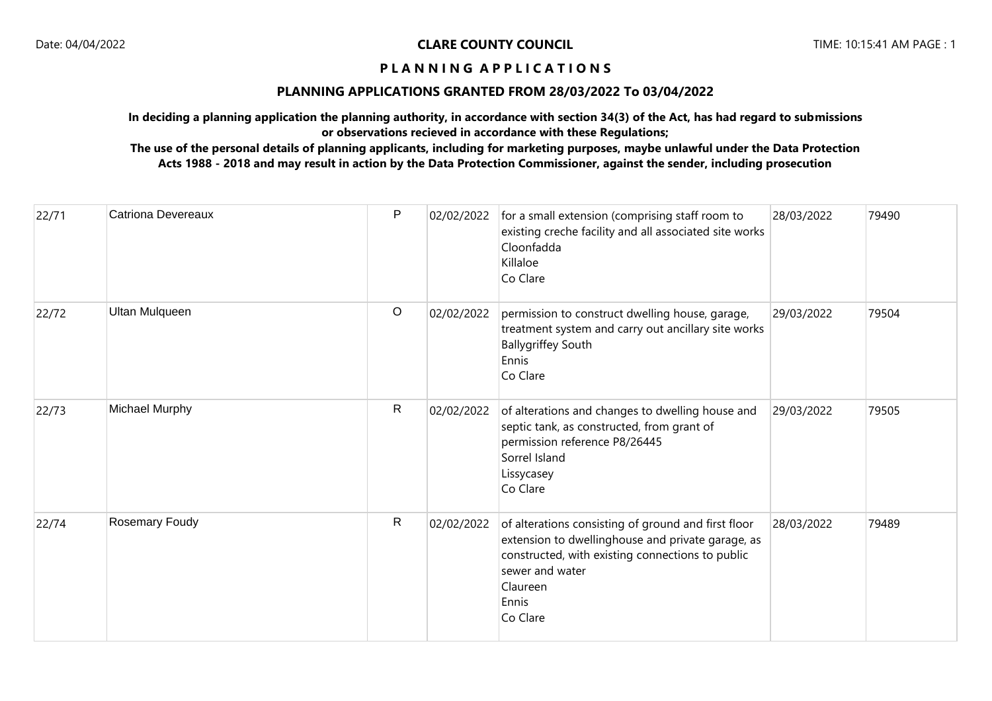## **PLANNING APPLICATIONS GRANTED FROM 28/03/2022 To 03/04/2022**

**In deciding a planning application the planning authority, in accordance with section 34(3) of the Act, has had regard to submissions or observations recieved in accordance with these Regulations;**

| 22/71 | <b>Catriona Devereaux</b> | $\mathsf{P}$ | 02/02/2022 | for a small extension (comprising staff room to<br>existing creche facility and all associated site works<br>Cloonfadda<br>Killaloe<br>Co Clare                                                                  | 28/03/2022 | 79490 |
|-------|---------------------------|--------------|------------|------------------------------------------------------------------------------------------------------------------------------------------------------------------------------------------------------------------|------------|-------|
| 22/72 | <b>Ultan Mulqueen</b>     | $\circ$      | 02/02/2022 | permission to construct dwelling house, garage,<br>treatment system and carry out ancillary site works<br><b>Ballygriffey South</b><br>Ennis<br>Co Clare                                                         | 29/03/2022 | 79504 |
| 22/73 | Michael Murphy            | $\mathsf{R}$ | 02/02/2022 | of alterations and changes to dwelling house and<br>septic tank, as constructed, from grant of<br>permission reference P8/26445<br>Sorrel Island<br>Lissycasey<br>Co Clare                                       | 29/03/2022 | 79505 |
| 22/74 | Rosemary Foudy            | $\mathsf{R}$ | 02/02/2022 | of alterations consisting of ground and first floor<br>extension to dwellinghouse and private garage, as<br>constructed, with existing connections to public<br>sewer and water<br>Claureen<br>Ennis<br>Co Clare | 28/03/2022 | 79489 |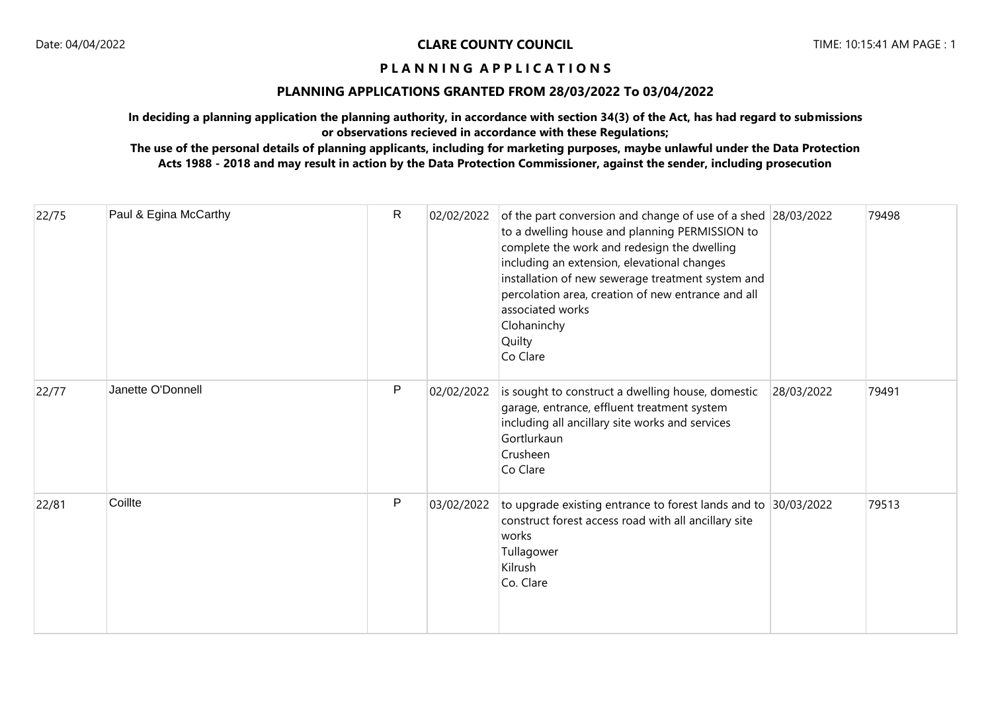#### **PLANNING APPLICATIONS GRANTED FROM 28/03/2022 To 03/04/2022**

**In deciding a planning application the planning authority, in accordance with section 34(3) of the Act, has had regard to submissions or observations recieved in accordance with these Regulations;**

| 22/75 | Paul & Egina McCarthy | $\mathsf{R}$ | 02/02/2022 | of the part conversion and change of use of a shed 28/03/2022<br>to a dwelling house and planning PERMISSION to<br>complete the work and redesign the dwelling<br>including an extension, elevational changes<br>installation of new sewerage treatment system and<br>percolation area, creation of new entrance and all<br>associated works<br>Clohaninchy<br>Quilty<br>Co Clare |            | 79498 |
|-------|-----------------------|--------------|------------|-----------------------------------------------------------------------------------------------------------------------------------------------------------------------------------------------------------------------------------------------------------------------------------------------------------------------------------------------------------------------------------|------------|-------|
| 22/77 | Janette O'Donnell     | P            | 02/02/2022 | is sought to construct a dwelling house, domestic<br>garage, entrance, effluent treatment system<br>including all ancillary site works and services<br>Gortlurkaun<br>Crusheen<br>Co Clare                                                                                                                                                                                        | 28/03/2022 | 79491 |
| 22/81 | Coillte               | $\mathsf{P}$ | 03/02/2022 | to upgrade existing entrance to forest lands and to $ 30/03/2022 $<br>construct forest access road with all ancillary site<br>works<br>Tullagower<br>Kilrush<br>Co. Clare                                                                                                                                                                                                         |            | 79513 |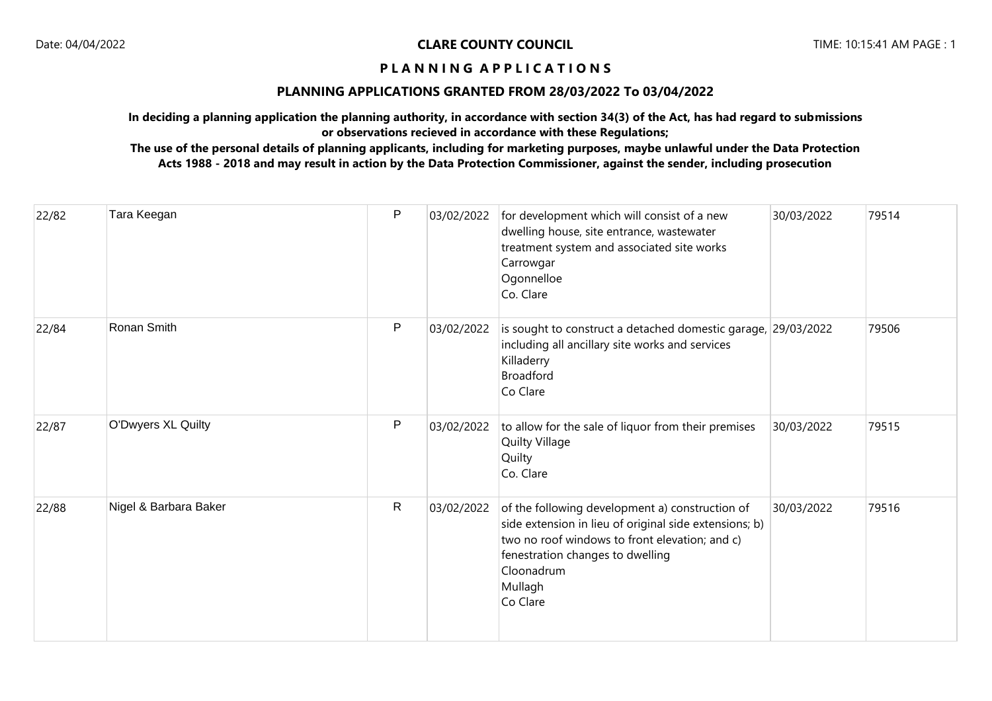## **PLANNING APPLICATIONS GRANTED FROM 28/03/2022 To 03/04/2022**

**In deciding a planning application the planning authority, in accordance with section 34(3) of the Act, has had regard to submissions or observations recieved in accordance with these Regulations;**

| 22/82 | Tara Keegan           | P            | 03/02/2022 | for development which will consist of a new<br>dwelling house, site entrance, wastewater<br>treatment system and associated site works<br>Carrowgar<br>Ogonnelloe<br>Co. Clare                                                       | 30/03/2022 | 79514 |
|-------|-----------------------|--------------|------------|--------------------------------------------------------------------------------------------------------------------------------------------------------------------------------------------------------------------------------------|------------|-------|
| 22/84 | Ronan Smith           | P            | 03/02/2022 | is sought to construct a detached domestic garage, 29/03/2022<br>including all ancillary site works and services<br>Killaderry<br><b>Broadford</b><br>Co Clare                                                                       |            | 79506 |
| 22/87 | O'Dwyers XL Quilty    | P            | 03/02/2022 | to allow for the sale of liquor from their premises<br>Quilty Village<br>Quilty<br>Co. Clare                                                                                                                                         | 30/03/2022 | 79515 |
| 22/88 | Nigel & Barbara Baker | $\mathsf{R}$ | 03/02/2022 | of the following development a) construction of<br>side extension in lieu of original side extensions; b)<br>two no roof windows to front elevation; and c)<br>fenestration changes to dwelling<br>Cloonadrum<br>Mullagh<br>Co Clare | 30/03/2022 | 79516 |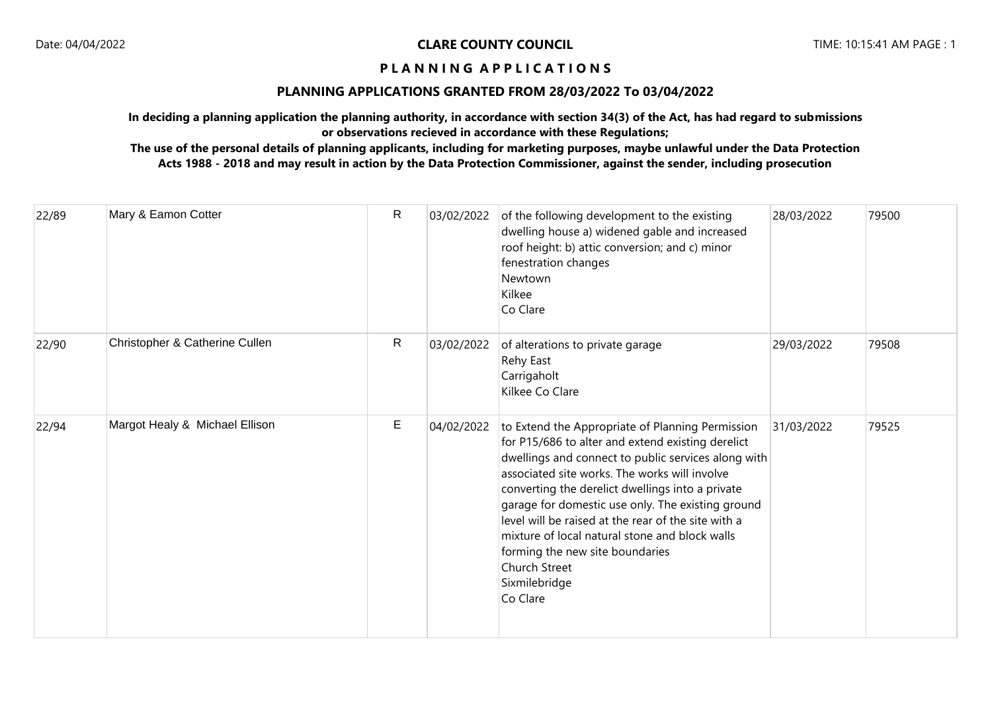## **PLANNING APPLICATIONS GRANTED FROM 28/03/2022 To 03/04/2022**

**In deciding a planning application the planning authority, in accordance with section 34(3) of the Act, has had regard to submissions or observations recieved in accordance with these Regulations;**

| 22/89 | Mary & Eamon Cotter            | $\mathsf{R}$ | 03/02/2022 | of the following development to the existing<br>dwelling house a) widened gable and increased<br>roof height: b) attic conversion; and c) minor<br>fenestration changes<br><b>Newtown</b><br>Kilkee<br>Co Clare                                                                                                                                                                                                                                                                                                  | 28/03/2022 | 79500 |
|-------|--------------------------------|--------------|------------|------------------------------------------------------------------------------------------------------------------------------------------------------------------------------------------------------------------------------------------------------------------------------------------------------------------------------------------------------------------------------------------------------------------------------------------------------------------------------------------------------------------|------------|-------|
| 22/90 | Christopher & Catherine Cullen | R            | 03/02/2022 | of alterations to private garage<br>Rehy East<br>Carrigaholt<br>Kilkee Co Clare                                                                                                                                                                                                                                                                                                                                                                                                                                  | 29/03/2022 | 79508 |
| 22/94 | Margot Healy & Michael Ellison | E            | 04/02/2022 | to Extend the Appropriate of Planning Permission<br>for P15/686 to alter and extend existing derelict<br>dwellings and connect to public services along with<br>associated site works. The works will involve<br>converting the derelict dwellings into a private<br>garage for domestic use only. The existing ground<br>level will be raised at the rear of the site with a<br>mixture of local natural stone and block walls<br>forming the new site boundaries<br>Church Street<br>Sixmilebridge<br>Co Clare | 31/03/2022 | 79525 |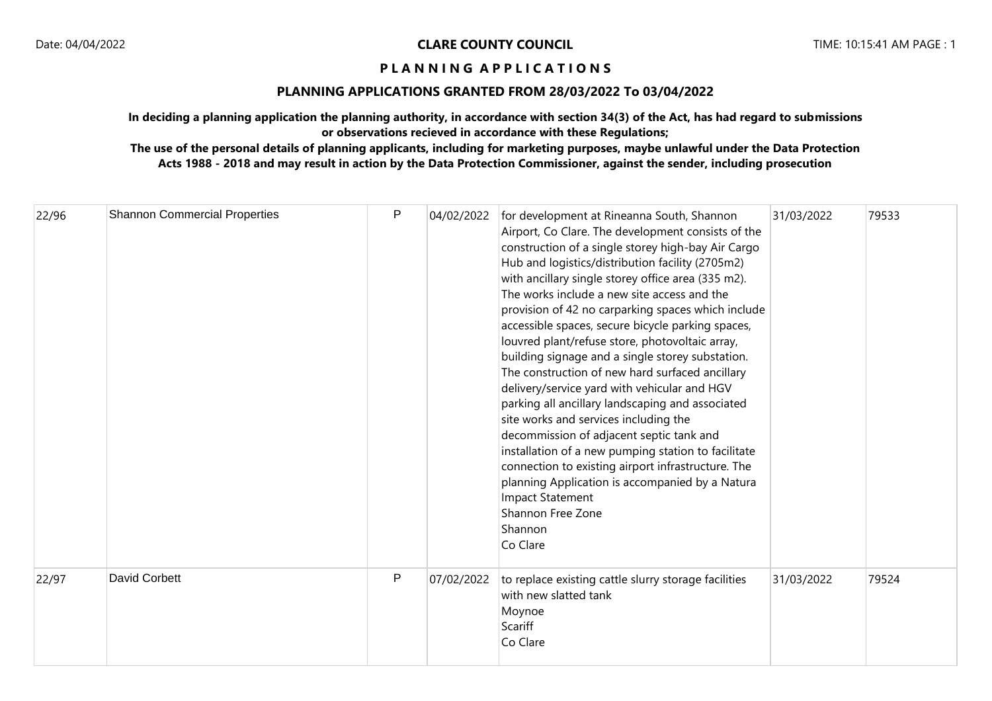## **PLANNING APPLICATIONS GRANTED FROM 28/03/2022 To 03/04/2022**

**In deciding a planning application the planning authority, in accordance with section 34(3) of the Act, has had regard to submissions or observations recieved in accordance with these Regulations;**

| 22/96 | <b>Shannon Commercial Properties</b> | P            | 04/02/2022 | for development at Rineanna South, Shannon<br>Airport, Co Clare. The development consists of the<br>construction of a single storey high-bay Air Cargo<br>Hub and logistics/distribution facility (2705m2)<br>with ancillary single storey office area (335 m2).<br>The works include a new site access and the<br>provision of 42 no carparking spaces which include<br>accessible spaces, secure bicycle parking spaces,<br>louvred plant/refuse store, photovoltaic array,<br>building signage and a single storey substation.<br>The construction of new hard surfaced ancillary<br>delivery/service yard with vehicular and HGV<br>parking all ancillary landscaping and associated<br>site works and services including the<br>decommission of adjacent septic tank and<br>installation of a new pumping station to facilitate<br>connection to existing airport infrastructure. The<br>planning Application is accompanied by a Natura<br><b>Impact Statement</b><br>Shannon Free Zone<br>Shannon<br>Co Clare | 31/03/2022 | 79533 |
|-------|--------------------------------------|--------------|------------|----------------------------------------------------------------------------------------------------------------------------------------------------------------------------------------------------------------------------------------------------------------------------------------------------------------------------------------------------------------------------------------------------------------------------------------------------------------------------------------------------------------------------------------------------------------------------------------------------------------------------------------------------------------------------------------------------------------------------------------------------------------------------------------------------------------------------------------------------------------------------------------------------------------------------------------------------------------------------------------------------------------------|------------|-------|
| 22/97 | <b>David Corbett</b>                 | $\mathsf{P}$ | 07/02/2022 | to replace existing cattle slurry storage facilities<br>with new slatted tank<br>Moynoe<br>Scariff<br>Co Clare                                                                                                                                                                                                                                                                                                                                                                                                                                                                                                                                                                                                                                                                                                                                                                                                                                                                                                       | 31/03/2022 | 79524 |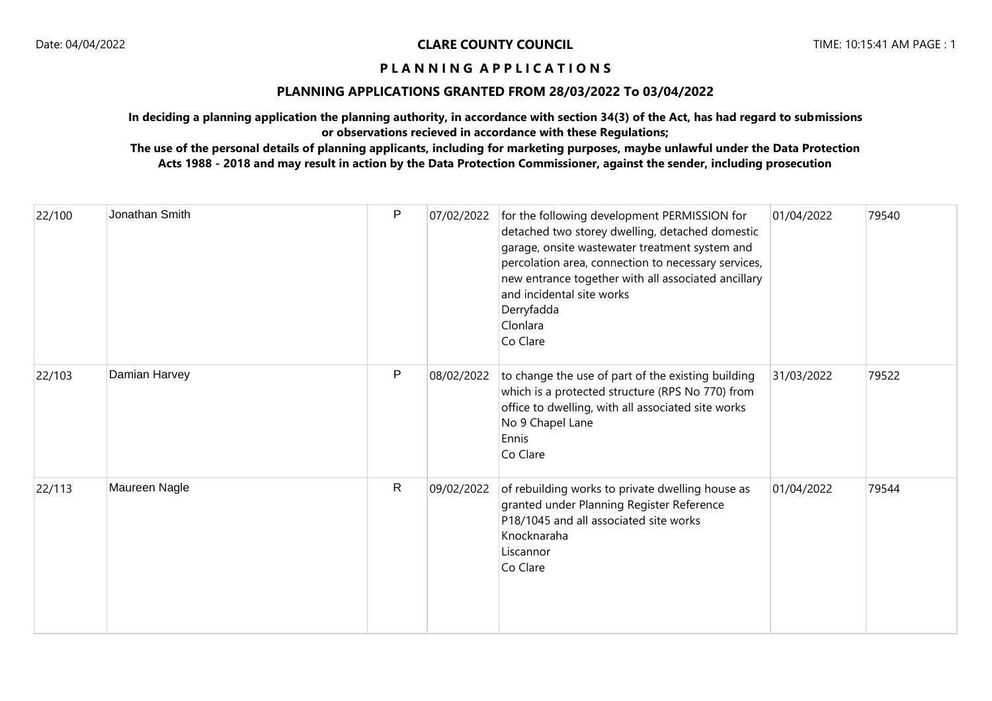## **PLANNING APPLICATIONS GRANTED FROM 28/03/2022 To 03/04/2022**

**In deciding a planning application the planning authority, in accordance with section 34(3) of the Act, has had regard to submissions or observations recieved in accordance with these Regulations;**

| 22/100 | Jonathan Smith | $\sf P$ | 07/02/2022 | for the following development PERMISSION for<br>detached two storey dwelling, detached domestic<br>garage, onsite wastewater treatment system and<br>percolation area, connection to necessary services,<br>new entrance together with all associated ancillary<br>and incidental site works<br>Derryfadda<br>Clonlara<br>Co Clare | 01/04/2022 | 79540 |
|--------|----------------|---------|------------|------------------------------------------------------------------------------------------------------------------------------------------------------------------------------------------------------------------------------------------------------------------------------------------------------------------------------------|------------|-------|
| 22/103 | Damian Harvey  | P       | 08/02/2022 | to change the use of part of the existing building<br>which is a protected structure (RPS No 770) from<br>office to dwelling, with all associated site works<br>No 9 Chapel Lane<br>Ennis<br>Co Clare                                                                                                                              | 31/03/2022 | 79522 |
| 22/113 | Maureen Nagle  | R       | 09/02/2022 | of rebuilding works to private dwelling house as<br>granted under Planning Register Reference<br>P18/1045 and all associated site works<br>Knocknaraha<br>Liscannor<br>Co Clare                                                                                                                                                    | 01/04/2022 | 79544 |